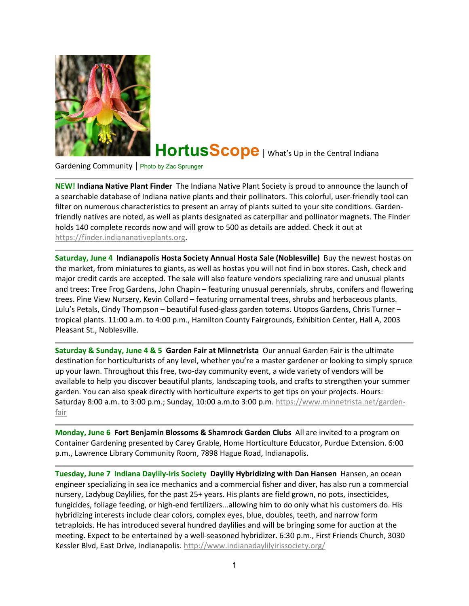

## HortusScope | What's Up in the Central Indiana

Gardening Community | Photo by Zac Sprunger

**NEW! Indiana Native Plant Finder** The Indiana Native Plant Society is proud to announce the launch of a searchable database of Indiana native plants and their pollinators. This colorful, user-friendly tool can filter on numerous characteristics to present an array of plants suited to your site conditions. Gardenfriendly natives are noted, as well as plants designated as caterpillar and pollinator magnets. The Finder holds 140 complete records now and will grow to 500 as details are added. Check it out at [https://finder.indiananativeplants.org.](https://finder.indiananativeplants.org/)

**Saturday, June 4 Indianapolis Hosta Society Annual Hosta Sale (Noblesville)** Buy the newest hostas on the market, from miniatures to giants, as well as hostas you will not find in box stores. Cash, check and major credit cards are accepted. The sale will also feature vendors specializing rare and unusual plants and trees: Tree Frog Gardens, John Chapin – featuring unusual perennials, shrubs, conifers and flowering trees. Pine View Nursery, Kevin Collard – featuring ornamental trees, shrubs and herbaceous plants. Lulu's Petals, Cindy Thompson – beautiful fused-glass garden totems. Utopos Gardens, Chris Turner – tropical plants. 11:00 a.m. to 4:00 p.m., Hamilton County Fairgrounds, Exhibition Center, Hall A, 2003 Pleasant St., Noblesville.

**Saturday & Sunday, June 4 & 5 Garden Fair at Minnetrista** Our annual Garden Fair is the ultimate destination for horticulturists of any level, whether you're a master gardener or looking to simply spruce up your lawn. Throughout this free, two-day community event, a wide variety of vendors will be available to help you discover beautiful plants, landscaping tools, and crafts to strengthen your summer garden. You can also speak directly with horticulture experts to get tips on your projects. Hours: Saturday 8:00 a.m. to 3:00 p.m.; Sunday, 10:00 a.m.to 3:00 p.m. [https://www.minnetrista.net/garden](https://www.minnetrista.net/garden-fair)[fair](https://www.minnetrista.net/garden-fair)

**Monday, June 6 Fort Benjamin Blossoms & Shamrock Garden Clubs** All are invited to a program on Container Gardening presented by Carey Grable, Home Horticulture Educator, Purdue Extension. 6:00 p.m., Lawrence Library Community Room, 7898 Hague Road, Indianapolis.

**Tuesday, June 7 Indiana Daylily-Iris Society Daylily Hybridizing with Dan Hansen** Hansen, an ocean engineer specializing in sea ice mechanics and a commercial fisher and diver, has also run a commercial nursery, Ladybug Daylilies, for the past 25+ years. His plants are field grown, no pots, insecticides, fungicides, foliage feeding, or high-end fertilizers...allowing him to do only what his customers do. His hybridizing interests include clear colors, complex eyes, blue, doubles, teeth, and narrow form tetraploids. He has introduced several hundred daylilies and will be bringing some for auction at the meeting. Expect to be entertained by a well-seasoned hybridizer. 6:30 p.m., First Friends Church, 3030 Kessler Blvd, East Drive, Indianapolis. <http://www.indianadaylilyirissociety.org/>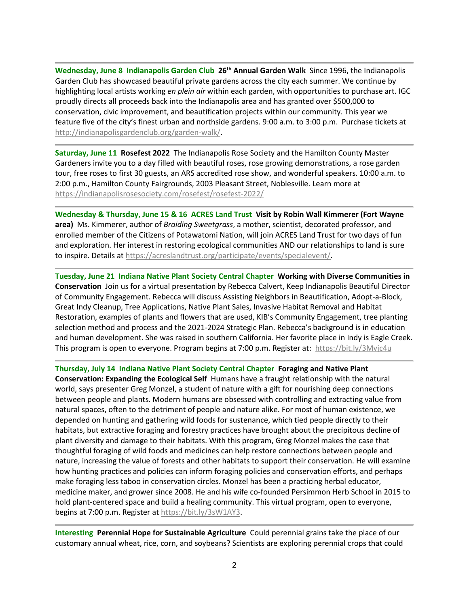**Wednesday, June 8 Indianapolis Garden Club 26th Annual Garden Walk** Since 1996, the Indianapolis Garden Club has showcased beautiful private gardens across the city each summer. We continue by highlighting local artists working *en plein air* within each garden, with opportunities to purchase art. IGC proudly directs all proceeds back into the Indianapolis area and has granted over \$500,000 to conservation, civic improvement, and beautification projects within our community. This year we feature five of the city's finest urban and northside gardens. 9:00 a.m. to 3:00 p.m. Purchase tickets at [http://indianapolisgardenclub.org/garden-walk/.](http://indianapolisgardenclub.org/garden-walk/)

**Saturday, June 11 Rosefest 2022** The Indianapolis Rose Society and the Hamilton County Master Gardeners invite you to a day filled with beautiful roses, rose growing demonstrations, a rose garden tour, free roses to first 30 guests, an ARS accredited rose show, and wonderful speakers. 10:00 a.m. to 2:00 p.m., Hamilton County Fairgrounds, 2003 Pleasant Street, Noblesville. Learn more at <https://indianapolisrosesociety.com/rosefest/rosefest-2022/>

**Wednesday & Thursday, June 15 & 16 ACRES Land Trust Visit by Robin Wall Kimmerer (Fort Wayne area)** Ms. Kimmerer, author of *Braiding Sweetgrass*, a mother, scientist, decorated professor, and enrolled member of the Citizens of Potawatomi Nation, will join ACRES Land Trust for two days of fun and exploration. Her interest in restoring ecological communities AND our relationships to land is sure to inspire. Details at [https://acreslandtrust.org/participate/events/specialevent/.](https://acreslandtrust.org/participate/events/specialevent/)

**Tuesday, June 21 Indiana Native Plant Society Central Chapter Working with Diverse Communities in Conservation** Join us for a virtual presentation by Rebecca Calvert, Keep Indianapolis Beautiful Director of Community Engagement. Rebecca will discuss Assisting Neighbors in Beautification, Adopt-a-Block, Great Indy Cleanup, Tree Applications, Native Plant Sales, Invasive Habitat Removal and Habitat Restoration, examples of plants and flowers that are used, KIB's Community Engagement, tree planting selection method and process and the 2021-2024 Strategic Plan. Rebecca's background is in education and human development. She was raised in southern California. Her favorite place in Indy is Eagle Creek. This program is open to everyone. Program begins at 7:00 p.m. Register at:<https://bit.ly/3Mvjc4u>

**Thursday, July 14 Indiana Native Plant Society Central Chapter Foraging and Native Plant Conservation: Expanding the Ecological Self** Humans have a fraught relationship with the natural world, says presenter Greg Monzel, a student of nature with a gift for nourishing deep connections between people and plants. Modern humans are obsessed with controlling and extracting value from natural spaces, often to the detriment of people and nature alike. For most of human existence, we depended on hunting and gathering wild foods for sustenance, which tied people directly to their habitats, but extractive foraging and forestry practices have brought about the precipitous decline of plant diversity and damage to their habitats. With this program, Greg Monzel makes the case that thoughtful foraging of wild foods and medicines can help restore connections between people and nature, increasing the value of forests and other habitats to support their conservation. He will examine how hunting practices and policies can inform foraging policies and conservation efforts, and perhaps make foraging less taboo in conservation circles. Monzel has been a practicing herbal educator, medicine maker, and grower since 2008. He and his wife co-founded Persimmon Herb School in 2015 to hold plant-centered space and build a healing community. This virtual program, open to everyone, begins at 7:00 p.m. Register at [https://bit.ly/3sW1AY3.](https://bit.ly/3sW1AY3)

**Interesting Perennial Hope for Sustainable Agriculture** Could perennial grains take the place of our customary annual wheat, rice, corn, and soybeans? Scientists are exploring perennial crops that could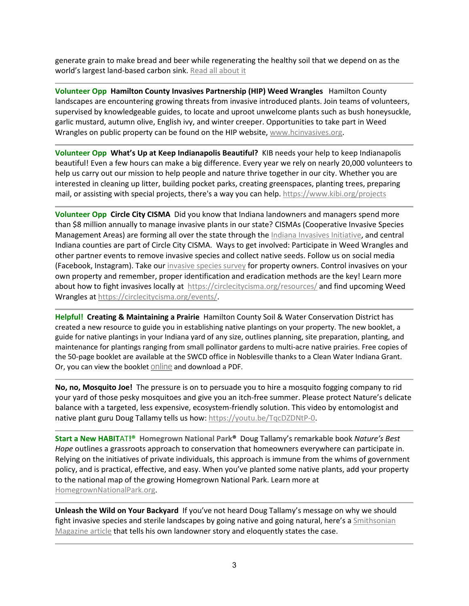generate grain to make bread and beer while regenerating the healthy soil that we depend on as the world's largest land-based carbon sink[. Read all about it](https://grist.org/climate/when-wheat-never-dies/)

**Volunteer Opp Hamilton County Invasives Partnership (HIP) Weed Wrangles** Hamilton County landscapes are encountering growing threats from invasive introduced plants. Join teams of volunteers, supervised by knowledgeable guides, to locate and uproot unwelcome plants such as bush honeysuckle, garlic mustard, autumn olive, English ivy, and winter creeper. Opportunities to take part in Weed Wrangles on public property can be found on the HIP website, [www.hcinvasives.org.](http://www.hcinvasives.org/)

**Volunteer Opp What's Up at Keep Indianapolis Beautiful?** KIB needs your help to keep Indianapolis beautiful! Even a few hours can make a big difference. Every year we rely on nearly 20,000 volunteers to help us carry out our mission to help people and nature thrive together in our city. Whether you are interested in cleaning up litter, building pocket parks, creating greenspaces, planting trees, preparing mail, or assisting with special projects, there's a way you can help. <https://www.kibi.org/projects>

**Volunteer Opp Circle City CISMA** Did you know that Indiana landowners and managers spend more than \$8 million annually to manage invasive plants in our state? CISMAs (Cooperative Invasive Species Management Areas) are forming all over the state through the [Indiana Invasives Initiative,](https://www.sicim.info/cisma-project) and central Indiana counties are part of Circle City CISMA. Ways to get involved: Participate in Weed Wrangles and other partner events to remove invasive species and collect native seeds. Follow us on social media (Facebook, Instagram). Take our [invasive species survey](https://www.surveymonkey.com/r/KQ3TPZQ) for property owners. Control invasives on your own property and remember, proper identification and eradication methods are the key! Learn more about how to fight invasives locally at <https://circlecitycisma.org/resources/> and find upcoming Weed Wrangles at [https://circlecitycisma.org/events/.](https://circlecitycisma.org/events/)

**Helpful! Creating & Maintaining a Prairie** Hamilton County Soil & Water Conservation District has created a new resource to guide you in establishing native plantings on your property. The new booklet, a guide for native plantings in your Indiana yard of any size, outlines planning, site preparation, planting, and maintenance for plantings ranging from small pollinator gardens to multi-acre native prairies. Free copies of the 50-page booklet are available at the SWCD office in Noblesville thanks to a Clean Water Indiana Grant. Or, you can view the booklet [online](https://www.hamiltonswcd.org/prairie.html?eType=EmailBlastContent&eId=5d44dd28-3244-47f1-8756-4fb8fab43949) and download a PDF.

**No, no, Mosquito Joe!** The pressure is on to persuade you to hire a mosquito fogging company to rid your yard of those pesky mosquitoes and give you an itch-free summer. Please protect Nature's delicate balance with a targeted, less expensive, ecosystem-friendly solution. This video by entomologist and native plant guru Doug Tallamy tells us how[: https://youtu.be/TqcDZDNtP-0.](https://youtu.be/TqcDZDNtP-0)

**Start a New HABIT**AT**!® Homegrown National Park®** Doug Tallamy's remarkable book *Nature's Best Hope* outlines a grassroots approach to conservation that homeowners everywhere can participate in. Relying on the initiatives of private individuals, this approach is immune from the whims of government policy, and is practical, effective, and easy. When you've planted some native plants, add your property to the national map of the growing Homegrown National Park. Learn more at [HomegrownNationalPark.org.](https://homegrownnationalpark.org/)

**Unleash the Wild on Your Backyard** If you've not heard Doug Tallamy's message on why we should fight invasive species and sterile landscapes by going native and going natural, here's a *Smithsonian* [Magazine](https://www.smithsonianmag.com/science-nature/meet-ecologist-who-wants-unleash-wild-backyard-180974372/?utm_source=smithsoniandaily&utm_medium=email&utm_campaign=2022-0322-daily-responsive&spMailingID=46582693&spUserID=NDczNTk4NzA0NTAxS0&spJobID=2202507026&spReportId=MjIwMjUwNzAyNgS2) article that tells his own landowner story and eloquently states the case.